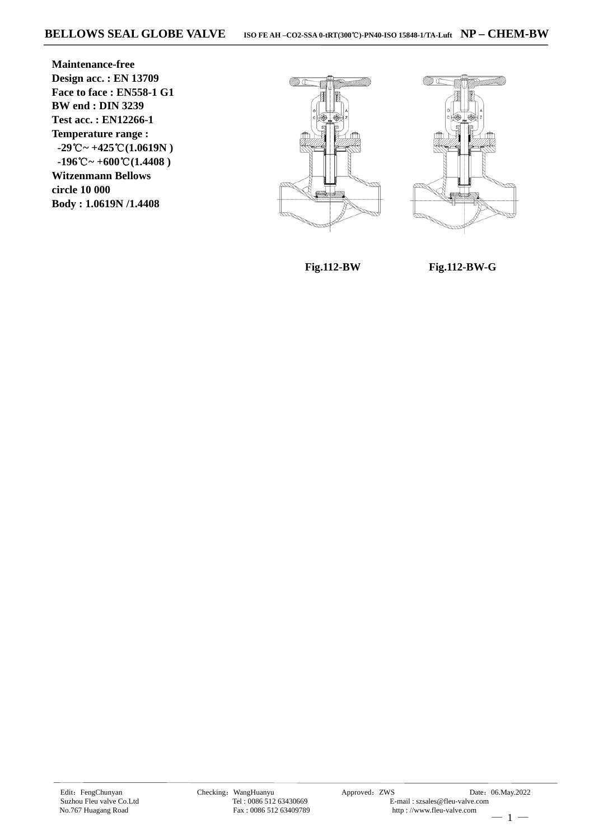**Maintenance-free Design acc. : EN 13709 Face to face : EN558-1 G1 BW end : DIN 3239 Test acc. : EN12266-1 Temperature range :**  $-29^{\circ}\text{C} \sim +425^{\circ}\text{C}(1.0619\text{N})$  $-196^{\circ}\text{C} \sim +600^{\circ}\text{C} (1.4408)$ **Witzenmann Bellows circle 10 000 Body : 1.0619N /1.4408**





 **Fig.112-BW** 

**Fig.112-BW-G**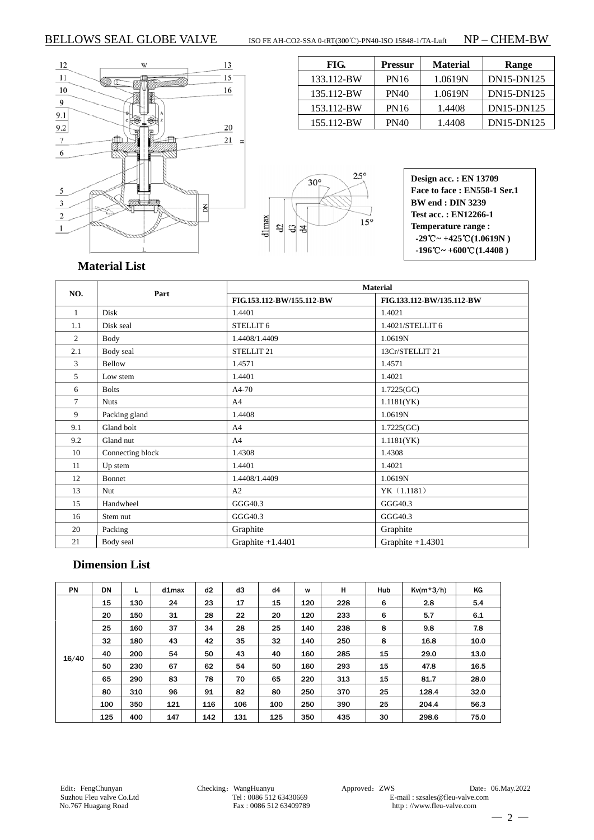### BELLOWS SEAL GLOBE VALVE ISO FE AH-CO2-SSA 0-tRT(300℃)-PN40-ISO 15848-1/TA-Luft NP – CHEM-BW

FIG. Pressur Material Range 133.112-BW PN16 1.0619N DN15-DN125 135.112-BW | PN40 | 1.0619N | DN15-DN125 153.112-BW PN16 1.4408 DN15-DN125 155.112-BW PN40 1.4408 DN15-DN125





**Design acc. : EN 13709 Face to face : EN558-1 Ser.1 BW end : DIN 3239 Test acc. : EN12266-1 Temperature range :**  $-29^{\circ}\text{C} \sim +425^{\circ}\text{C} (1.0619\text{N})$  $-196^{\circ}\text{C} \sim +600^{\circ}\text{C} (1.4408)$ 

### **Material List**

|                |                  | <b>Material</b>           |                           |  |  |  |
|----------------|------------------|---------------------------|---------------------------|--|--|--|
| NO.            | Part             | FIG.153.112-BW/155.112-BW | FIG.133.112-BW/135.112-BW |  |  |  |
| $\mathbf{1}$   | Disk             | 1.4401                    | 1.4021                    |  |  |  |
| 1.1            | Disk seal        | STELLIT <sub>6</sub>      | 1.4021/STELLIT 6          |  |  |  |
| $\overline{c}$ | Body             | 1.4408/1.4409             | 1.0619N                   |  |  |  |
| 2.1            | Body seal        | STELLIT <sub>21</sub>     | 13Cr/STELLIT 21           |  |  |  |
| 3              | Bellow           | 1.4571                    | 1.4571                    |  |  |  |
| 5              | Low stem         | 1.4401                    | 1.4021                    |  |  |  |
| 6              | <b>Bolts</b>     | A4-70                     | 1.7225(GC)                |  |  |  |
| 7              | <b>Nuts</b>      | A <sub>4</sub>            | 1.1181(YK)                |  |  |  |
| 9              | Packing gland    | 1.4408                    | 1.0619N                   |  |  |  |
| 9.1            | Gland bolt       | A <sub>4</sub>            | 1.7225(GC)                |  |  |  |
| 9.2            | Gland nut        | A <sub>4</sub>            | 1.1181(YK)                |  |  |  |
| 10             | Connecting block | 1.4308                    | 1.4308                    |  |  |  |
| 11             | Up stem          | 1.4401                    | 1.4021                    |  |  |  |
| 12             | Bonnet           | 1.4408/1.4409             | 1.0619N                   |  |  |  |
| 13             | Nut              | A2                        | YK (1.1181)               |  |  |  |
| 15             | Handwheel        | GGG40.3                   | GGG40.3                   |  |  |  |
| 16             | Stem nut         | GGG40.3                   | GGG40.3                   |  |  |  |
| 20             | Packing          | Graphite                  | Graphite                  |  |  |  |
| 21             | Body seal        | Graphite $+1.4401$        | Graphite $+1.4301$        |  |  |  |

### **Dimension List**

| <b>PN</b> | <b>DN</b> | L   | $d1$ max | d2  | d3  | d4  | W   | н   | Hub | $Kv(m*3/h)$ | ΚG   |
|-----------|-----------|-----|----------|-----|-----|-----|-----|-----|-----|-------------|------|
| 16/40     | 15        | 130 | 24       | 23  | 17  | 15  | 120 | 228 | 6   | 2.8         | 5.4  |
|           | 20        | 150 | 31       | 28  | 22  | 20  | 120 | 233 | 6   | 5.7         | 6.1  |
|           | 25        | 160 | 37       | 34  | 28  | 25  | 140 | 238 | 8   | 9.8         | 7.8  |
|           | 32        | 180 | 43       | 42  | 35  | 32  | 140 | 250 | 8   | 16.8        | 10.0 |
|           | 40        | 200 | 54       | 50  | 43  | 40  | 160 | 285 | 15  | 29.0        | 13.0 |
|           | 50        | 230 | 67       | 62  | 54  | 50  | 160 | 293 | 15  | 47.8        | 16.5 |
|           | 65        | 290 | 83       | 78  | 70  | 65  | 220 | 313 | 15  | 81.7        | 28.0 |
|           | 80        | 310 | 96       | 91  | 82  | 80  | 250 | 370 | 25  | 128.4       | 32.0 |
|           | 100       | 350 | 121      | 116 | 106 | 100 | 250 | 390 | 25  | 204.4       | 56.3 |
|           | 125       | 400 | 147      | 142 | 131 | 125 | 350 | 435 | 30  | 298.6       | 75.0 |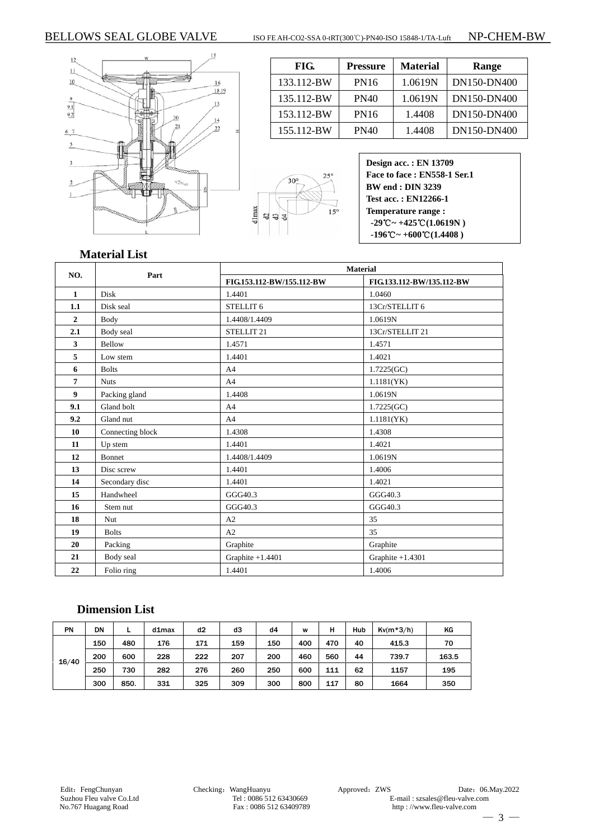### BELLOWS SEAL GLOBE VALVE ISO FE AH-CO2-SSA 0-tRT(300℃)-PN40-ISO 15848-1/TA-Luft NP-CHEM-BW

 $\frac{12}{2}$  $\overline{11}$ aan A  $10$  $\frac{16}{1819}$ ś  $\frac{13}{2}$  $\frac{9.1}{9.2}$  $\overline{20}$  $\frac{14}{1}$  $\overline{21}$  $\overline{22}$  $67$  $\overline{5}$  $\overline{\mathbf{3}}$  $\overline{2}$  $\mathbf{1}$  $\overline{\mathbb{Q}}$ 

 $\overline{\phantom{a}}$ 

| FIG.       | <b>Pressure</b> | <b>Material</b> | Range       |  |  |
|------------|-----------------|-----------------|-------------|--|--|
| 133.112-BW | <b>PN16</b>     | 1.0619N         | DN150-DN400 |  |  |
| 135.112-BW | PN40            | 1.0619N         | DN150-DN400 |  |  |
| 153.112-BW | <b>PN16</b>     | 1.4408          | DN150-DN400 |  |  |
| 155.112-BW | PN40            | 1.4408          | DN150-DN400 |  |  |



| <b>Design acc.: EN 13709</b>                                    |
|-----------------------------------------------------------------|
| Face to face: EN558-1 Ser.1                                     |
| <b>BW</b> end : <b>DIN</b> 3239                                 |
| Test acc.: EN12266-1                                            |
| Temperature range:                                              |
| $-29^{\circ}\text{C} \sim +425^{\circ}\text{C}(1.0619\text{N})$ |
| $-196^{\circ}\text{C} \sim +600^{\circ}\text{C} (1.4408)$       |

### **Material List**

|                |                  | <b>Material</b>           |                           |  |  |  |  |
|----------------|------------------|---------------------------|---------------------------|--|--|--|--|
| NO.            | Part             | FIG.153.112-BW/155.112-BW | FIG.133.112-BW/135.112-BW |  |  |  |  |
| $\mathbf{1}$   | Disk             | 1.4401                    | 1.0460                    |  |  |  |  |
| 1.1            | Disk seal        | STELLIT 6                 | 13Cr/STELLIT 6            |  |  |  |  |
| $\overline{2}$ | Body             | 1.4408/1.4409             | 1.0619N                   |  |  |  |  |
| 2.1            | Body seal        | STELLIT <sub>21</sub>     | 13Cr/STELLIT 21           |  |  |  |  |
| 3              | Bellow           | 1.4571                    | 1.4571                    |  |  |  |  |
| 5              | Low stem         | 1.4401                    | 1.4021                    |  |  |  |  |
| 6              | <b>Bolts</b>     | A <sub>4</sub>            | 1.7225(GC)                |  |  |  |  |
| 7              | <b>Nuts</b>      | A <sub>4</sub>            | 1.1181(YK)                |  |  |  |  |
| 9              | Packing gland    | 1.4408                    | 1.0619N                   |  |  |  |  |
| 9.1            | Gland bolt       | A4                        | 1.7225(GC)                |  |  |  |  |
| 9.2            | Gland nut        | A <sub>4</sub>            | 1.1181(YK)                |  |  |  |  |
| 10             | Connecting block | 1.4308                    | 1.4308                    |  |  |  |  |
| 11             | Up stem          | 1.4401                    | 1.4021                    |  |  |  |  |
| 12             | Bonnet           | 1.4408/1.4409             | 1.0619N                   |  |  |  |  |
| 13             | Disc screw       | 1.4401                    | 1.4006                    |  |  |  |  |
| 14             | Secondary disc   | 1.4401                    | 1.4021                    |  |  |  |  |
| 15             | Handwheel        | GGG40.3                   | GGG40.3                   |  |  |  |  |
| 16             | Stem nut         | GGG40.3                   | GGG40.3                   |  |  |  |  |
| 18             | Nut              | A2                        | 35                        |  |  |  |  |
| 19             | <b>Bolts</b>     | A2                        | 35                        |  |  |  |  |
| 20             | Packing          | Graphite                  | Graphite                  |  |  |  |  |
| 21             | Body seal        | Graphite $+1.4401$        | Graphite $+1.4301$        |  |  |  |  |
| 22             | Folio ring       | 1.4401                    | 1.4006                    |  |  |  |  |

## **Dimension List**

| PN    | DN  |      | $d1$ max | d2  | dЗ  | d4  | W   | н   | Hub | $Kv(m*3/h)$ | ΚG    |
|-------|-----|------|----------|-----|-----|-----|-----|-----|-----|-------------|-------|
| 16/40 | 150 | 480  | 176      | 171 | 159 | 150 | 400 | 470 | 40  | 415.3       | 70    |
|       | 200 | 600  | 228      | 222 | 207 | 200 | 460 | 560 | 44  | 739.7       | 163.5 |
|       | 250 | 730  | 282      | 276 | 260 | 250 | 600 | 111 | 62  | 1157        | 195   |
|       | 300 | 850. | 331      | 325 | 309 | 300 | 800 | 117 | 80  | 1664        | 350   |